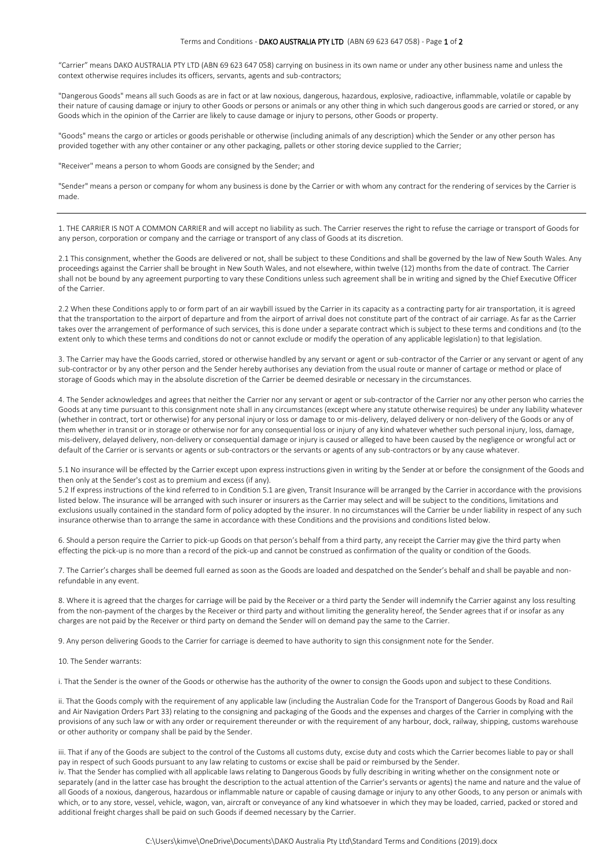## Terms and Conditions - DAKO AUSTRALIA PTY LTD (ABN 69 623 647 058) - Page 1 of 2

"Carrier" means DAKO AUSTRALIA PTY LTD (ABN 69 623 647 058) carrying on business in its own name or under any other business name and unless the context otherwise requires includes its officers, servants, agents and sub-contractors;

"Dangerous Goods" means all such Goods as are in fact or at law noxious, dangerous, hazardous, explosive, radioactive, inflammable, volatile or capable by their nature of causing damage or injury to other Goods or persons or animals or any other thing in which such dangerous goods are carried or stored, or any Goods which in the opinion of the Carrier are likely to cause damage or injury to persons, other Goods or property.

"Goods" means the cargo or articles or goods perishable or otherwise (including animals of any description) which the Sender or any other person has provided together with any other container or any other packaging, pallets or other storing device supplied to the Carrier;

"Receiver" means a person to whom Goods are consigned by the Sender; and

"Sender" means a person or company for whom any business is done by the Carrier or with whom any contract for the rendering of services by the Carrier is made.

1. THE CARRIER IS NOT A COMMON CARRIER and will accept no liability as such. The Carrier reserves the right to refuse the carriage or transport of Goods for any person, corporation or company and the carriage or transport of any class of Goods at its discretion.

2.1 This consignment, whether the Goods are delivered or not, shall be subject to these Conditions and shall be governed by the law of New South Wales. Any proceedings against the Carrier shall be brought in New South Wales, and not elsewhere, within twelve (12) months from the date of contract. The Carrier shall not be bound by any agreement purporting to vary these Conditions unless such agreement shall be in writing and signed by the Chief Executive Officer of the Carrier.

2.2 When these Conditions apply to or form part of an air waybill issued by the Carrier in its capacity as a contracting party for air transportation, it is agreed that the transportation to the airport of departure and from the airport of arrival does not constitute part of the contract of air carriage. As far as the Carrier takes over the arrangement of performance of such services, this is done under a separate contract which is subject to these terms and conditions and (to the extent only to which these terms and conditions do not or cannot exclude or modify the operation of any applicable legislation) to that legislation.

3. The Carrier may have the Goods carried, stored or otherwise handled by any servant or agent or sub-contractor of the Carrier or any servant or agent of any sub-contractor or by any other person and the Sender hereby authorises any deviation from the usual route or manner of cartage or method or place of storage of Goods which may in the absolute discretion of the Carrier be deemed desirable or necessary in the circumstances.

4. The Sender acknowledges and agrees that neither the Carrier nor any servant or agent or sub-contractor of the Carrier nor any other person who carries the Goods at any time pursuant to this consignment note shall in any circumstances (except where any statute otherwise requires) be under any liability whatever (whether in contract, tort or otherwise) for any personal injury or loss or damage to or mis-delivery, delayed delivery or non-delivery of the Goods or any of them whether in transit or in storage or otherwise nor for any consequential loss or injury of any kind whatever whether such personal injury, loss, damage, mis-delivery, delayed delivery, non-delivery or consequential damage or injury is caused or alleged to have been caused by the negligence or wrongful act or default of the Carrier or is servants or agents or sub-contractors or the servants or agents of any sub-contractors or by any cause whatever.

5.1 No insurance will be effected by the Carrier except upon express instructions given in writing by the Sender at or before the consignment of the Goods and then only at the Sender's cost as to premium and excess (if any).

5.2 If express instructions of the kind referred to in Condition 5.1 are given, Transit Insurance will be arranged by the Carrier in accordance with the provisions listed below. The insurance will be arranged with such insurer or insurers as the Carrier may select and will be subject to the conditions, limitations and exclusions usually contained in the standard form of policy adopted by the insurer. In no circumstances will the Carrier be under liability in respect of any such insurance otherwise than to arrange the same in accordance with these Conditions and the provisions and conditions listed below.

6. Should a person require the Carrier to pick-up Goods on that person's behalf from a third party, any receipt the Carrier may give the third party when effecting the pick-up is no more than a record of the pick-up and cannot be construed as confirmation of the quality or condition of the Goods.

7. The Carrier's charges shall be deemed full earned as soon as the Goods are loaded and despatched on the Sender's behalf and shall be payable and nonrefundable in any event.

8. Where it is agreed that the charges for carriage will be paid by the Receiver or a third party the Sender will indemnify the Carrier against any loss resulting from the non-payment of the charges by the Receiver or third party and without limiting the generality hereof, the Sender agrees that if or insofar as any charges are not paid by the Receiver or third party on demand the Sender will on demand pay the same to the Carrier.

9. Any person delivering Goods to the Carrier for carriage is deemed to have authority to sign this consignment note for the Sender.

10. The Sender warrants:

i. That the Sender is the owner of the Goods or otherwise has the authority of the owner to consign the Goods upon and subject to these Conditions.

ii. That the Goods comply with the requirement of any applicable law (including the Australian Code for the Transport of Dangerous Goods by Road and Rail and Air Navigation Orders Part 33) relating to the consigning and packaging of the Goods and the expenses and charges of the Carrier in complying with the provisions of any such law or with any order or requirement thereunder or with the requirement of any harbour, dock, railway, shipping, customs warehouse or other authority or company shall be paid by the Sender.

iii. That if any of the Goods are subject to the control of the Customs all customs duty, excise duty and costs which the Carrier becomes liable to pay or shall pay in respect of such Goods pursuant to any law relating to customs or excise shall be paid or reimbursed by the Sender.

iv. That the Sender has complied with all applicable laws relating to Dangerous Goods by fully describing in writing whether on the consignment note or separately (and in the latter case has brought the description to the actual attention of the Carrier's servants or agents) the name and nature and the value of all Goods of a noxious, dangerous, hazardous or inflammable nature or capable of causing damage or injury to any other Goods, to any person or animals with which, or to any store, vessel, vehicle, wagon, van, aircraft or conveyance of any kind whatsoever in which they may be loaded, carried, packed or stored and additional freight charges shall be paid on such Goods if deemed necessary by the Carrier.